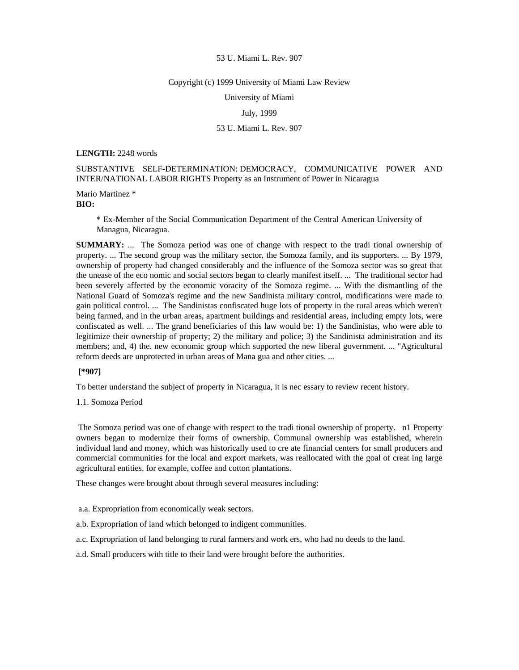#### Copyright (c) 1999 University of Miami Law Review

University of Miami

### July, 1999

# 53 U. Miami L. Rev. 907

### **LENGTH:** 2248 words

SUBSTANTIVE SELF-DETERMINATION: DEMOCRACY, COMMUNICATIVE POWER AND INTER/NATIONAL LABOR RIGHTS Property as an Instrument of Power in Nicaragua

# Mario Martinez \* **BIO:**

\* Ex-Member of the Social Communication Department of the Central American University of Managua, Nicaragua.

**SUMMARY:** ... The Somoza period was one of change with respect to the tradi tional ownership of property. ... The second group was the military sector, the Somoza family, and its supporters. ... By 1979, ownership of property had changed considerably and the influence of the Somoza sector was so great that the unease of the eco nomic and social sectors began to clearly manifest itself. ... The traditional sector had been severely affected by the economic voracity of the Somoza regime. ... With the dismantling of the National Guard of Somoza's regime and the new Sandinista military control, modifications were made to gain political control. ... The Sandinistas confiscated huge lots of property in the rural areas which weren't being farmed, and in the urban areas, apartment buildings and residential areas, including empty lots, were confiscated as well. ... The grand beneficiaries of this law would be: 1) the Sandinistas, who were able to legitimize their ownership of property; 2) the military and police; 3) the Sandinista administration and its members; and, 4) the. new economic group which supported the new liberal government. ... "Agricultural reform deeds are unprotected in urban areas of Mana gua and other cities. ...

# **[\*907]**

To better understand the subject of property in Nicaragua, it is nec essary to review recent history.

#### 1.1. Somoza Period

 The Somoza period was one of change with respect to the tradi tional ownership of property. n1 Property owners began to modernize their forms of ownership. Communal ownership was established, wherein individual land and money, which was historically used to cre ate financial centers for small producers and commercial communities for the local and export markets, was reallocated with the goal of creat ing large agricultural entities, for example, coffee and cotton plantations.

These changes were brought about through several measures including:

- a.a. Expropriation from economically weak sectors.
- a.b. Expropriation of land which belonged to indigent communities.
- a.c. Expropriation of land belonging to rural farmers and work ers, who had no deeds to the land.
- a.d. Small producers with title to their land were brought before the authorities.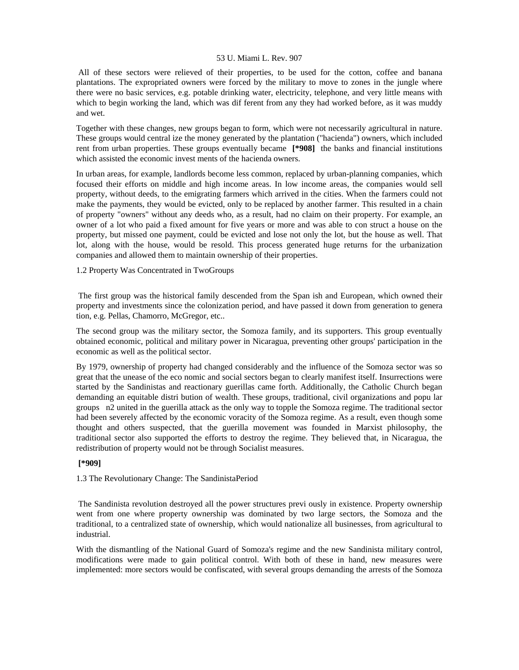All of these sectors were relieved of their properties, to be used for the cotton, coffee and banana plantations. The expropriated owners were forced by the military to move to zones in the jungle where there were no basic services, e.g. potable drinking water, electricity, telephone, and very little means with which to begin working the land, which was dif ferent from any they had worked before, as it was muddy and wet.

Together with these changes, new groups began to form, which were not necessarily agricultural in nature. These groups would central ize the money generated by the plantation ("hacienda") owners, which included rent from urban properties. These groups eventually became **[\*908]** the banks and financial institutions which assisted the economic invest ments of the hacienda owners.

In urban areas, for example, landlords become less common, replaced by urban-planning companies, which focused their efforts on middle and high income areas. In low income areas, the companies would sell property, without deeds, to the emigrating farmers which arrived in the cities. When the farmers could not make the payments, they would be evicted, only to be replaced by another farmer. This resulted in a chain of property "owners" without any deeds who, as a result, had no claim on their property. For example, an owner of a lot who paid a fixed amount for five years or more and was able to con struct a house on the property, but missed one payment, could be evicted and lose not only the lot, but the house as well. That lot, along with the house, would be resold. This process generated huge returns for the urbanization companies and allowed them to maintain ownership of their properties.

# 1.2 Property Was Concentrated in TwoGroups

 The first group was the historical family descended from the Span ish and European, which owned their property and investments since the colonization period, and have passed it down from generation to genera tion, e.g. Pellas, Chamorro, McGregor, etc..

The second group was the military sector, the Somoza family, and its supporters. This group eventually obtained economic, political and military power in Nicaragua, preventing other groups' participation in the economic as well as the political sector.

By 1979, ownership of property had changed considerably and the influence of the Somoza sector was so great that the unease of the eco nomic and social sectors began to clearly manifest itself. Insurrections were started by the Sandinistas and reactionary guerillas came forth. Additionally, the Catholic Church began demanding an equitable distri bution of wealth. These groups, traditional, civil organizations and popu lar groups n2 united in the guerilla attack as the only way to topple the Somoza regime. The traditional sector had been severely affected by the economic voracity of the Somoza regime. As a result, even though some thought and others suspected, that the guerilla movement was founded in Marxist philosophy, the traditional sector also supported the efforts to destroy the regime. They believed that, in Nicaragua, the redistribution of property would not be through Socialist measures.

#### **[\*909]**

1.3 The Revolutionary Change: The SandinistaPeriod

 The Sandinista revolution destroyed all the power structures previ ously in existence. Property ownership went from one where property ownership was dominated by two large sectors, the Somoza and the traditional, to a centralized state of ownership, which would nationalize all businesses, from agricultural to industrial.

With the dismantling of the National Guard of Somoza's regime and the new Sandinista military control, modifications were made to gain political control. With both of these in hand, new measures were implemented: more sectors would be confiscated, with several groups demanding the arrests of the Somoza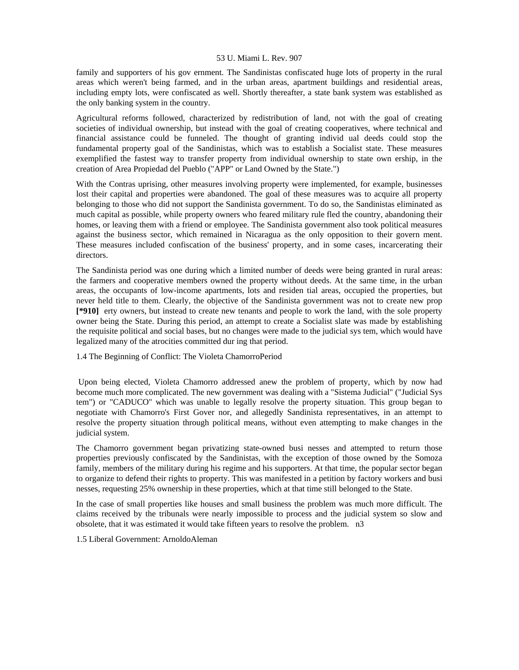family and supporters of his gov ernment. The Sandinistas confiscated huge lots of property in the rural areas which weren't being farmed, and in the urban areas, apartment buildings and residential areas, including empty lots, were confiscated as well. Shortly thereafter, a state bank system was established as the only banking system in the country.

Agricultural reforms followed, characterized by redistribution of land, not with the goal of creating societies of individual ownership, but instead with the goal of creating cooperatives, where technical and financial assistance could be funneled. The thought of granting individ ual deeds could stop the fundamental property goal of the Sandinistas, which was to establish a Socialist state. These measures exemplified the fastest way to transfer property from individual ownership to state own ership, in the creation of Area Propiedad del Pueblo ("APP" or Land Owned by the State.")

With the Contras uprising, other measures involving property were implemented, for example, businesses lost their capital and properties were abandoned. The goal of these measures was to acquire all property belonging to those who did not support the Sandinista government. To do so, the Sandinistas eliminated as much capital as possible, while property owners who feared military rule fled the country, abandoning their homes, or leaving them with a friend or employee. The Sandinista government also took political measures against the business sector, which remained in Nicaragua as the only opposition to their govern ment. These measures included confiscation of the business' property, and in some cases, incarcerating their directors.

The Sandinista period was one during which a limited number of deeds were being granted in rural areas: the farmers and cooperative members owned the property without deeds. At the same time, in the urban areas, the occupants of low-income apartments, lots and residen tial areas, occupied the properties, but never held title to them. Clearly, the objective of the Sandinista government was not to create new prop **[\*910]** erty owners, but instead to create new tenants and people to work the land, with the sole property owner being the State. During this period, an attempt to create a Socialist slate was made by establishing the requisite political and social bases, but no changes were made to the judicial sys tem, which would have legalized many of the atrocities committed dur ing that period.

1.4 The Beginning of Conflict: The Violeta ChamorroPeriod

 Upon being elected, Violeta Chamorro addressed anew the problem of property, which by now had become much more complicated. The new government was dealing with a "Sistema Judicial" ("Judicial Sys tem") or "CADUCO" which was unable to legally resolve the property situation. This group began to negotiate with Chamorro's First Gover nor, and allegedly Sandinista representatives, in an attempt to resolve the property situation through political means, without even attempting to make changes in the judicial system.

The Chamorro government began privatizing state-owned busi nesses and attempted to return those properties previously confiscated by the Sandinistas, with the exception of those owned by the Somoza family, members of the military during his regime and his supporters. At that time, the popular sector began to organize to defend their rights to property. This was manifested in a petition by factory workers and busi nesses, requesting 25% ownership in these properties, which at that time still belonged to the State.

In the case of small properties like houses and small business the problem was much more difficult. The claims received by the tribunals were nearly impossible to process and the judicial system so slow and obsolete, that it was estimated it would take fifteen years to resolve the problem. n3

1.5 Liberal Government: ArnoldoAleman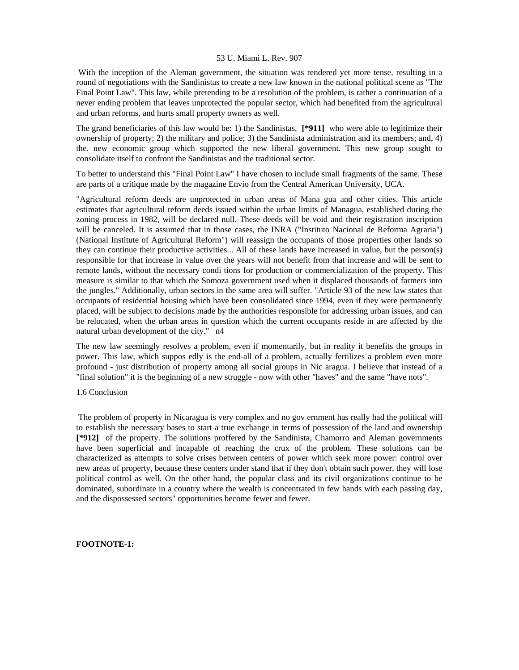With the inception of the Aleman government, the situation was rendered yet more tense, resulting in a round of negotiations with the Sandinistas to create a new law known in the national political scene as "The Final Point Law". This law, while pretending to be a resolution of the problem, is rather a continuation of a never ending problem that leaves unprotected the popular sector, which had benefited from the agricultural and urban reforms, and hurts small property owners as well.

The grand beneficiaries of this law would be: 1) the Sandinistas, **[\*911]** who were able to legitimize their ownership of property; 2) the military and police; 3) the Sandinista administration and its members; and, 4) the. new economic group which supported the new liberal government. This new group sought to consolidate itself to confront the Sandinistas and the traditional sector.

To better to understand this "Final Point Law" I have chosen to include small fragments of the same. These are parts of a critique made by the magazine Envio from the Central American University, UCA.

"Agricultural reform deeds are unprotected in urban areas of Mana gua and other cities. This article estimates that agricultural reform deeds issued within the urban limits of Managua, established during the zoning process in 1982, will be declared null. These deeds will be void and their registration inscription will be canceled. It is assumed that in those cases, the INRA ("Instituto Nacional de Reforma Agraria") (National Institute of Agricultural Reform") will reassign the occupants of those properties other lands so they can continue their productive activities... All of these lands have increased in value, but the person(s) responsible for that increase in value over the years will not benefit from that increase and will be sent to remote lands, without the necessary condi tions for production or commercialization of the property. This measure is similar to that which the Somoza government used when it displaced thousands of farmers into the jungles." Additionally, urban sectors in the same area will suffer. "Article 93 of the new law states that occupants of residential housing which have been consolidated since 1994, even if they were permanently placed, will be subject to decisions made by the authorities responsible for addressing urban issues, and can be relocated, when the urban areas in question which the current occupants reside in are affected by the natural urban development of the city." n4

The new law seemingly resolves a problem, even if momentarily, but in reality it benefits the groups in power. This law, which suppos edly is the end-all of a problem, actually fertilizes a problem even more profound - just distribution of property among all social groups in Nic aragua. I believe that instead of a "final solution" it is the beginning of a new struggle - now with other "haves" and the same "have nots".

### 1.6 Conclusion

 The problem of property in Nicaragua is very complex and no gov ernment has really had the political will to establish the necessary bases to start a true exchange in terms of possession of the land and ownership **[\*912]** of the property. The solutions proffered by the Sandinista, Chamorro and Aleman governments have been superficial and incapable of reaching the crux of the problem. These solutions can be characterized as attempts to solve crises between centers of power which seek more power: control over new areas of property, because these centers under stand that if they don't obtain such power, they will lose political control as well. On the other hand, the popular class and its civil organizations continue to be dominated, subordinate in a country where the wealth is concentrated in few hands with each passing day, and the dispossessed sectors" opportunities become fewer and fewer.

#### **FOOTNOTE-1:**